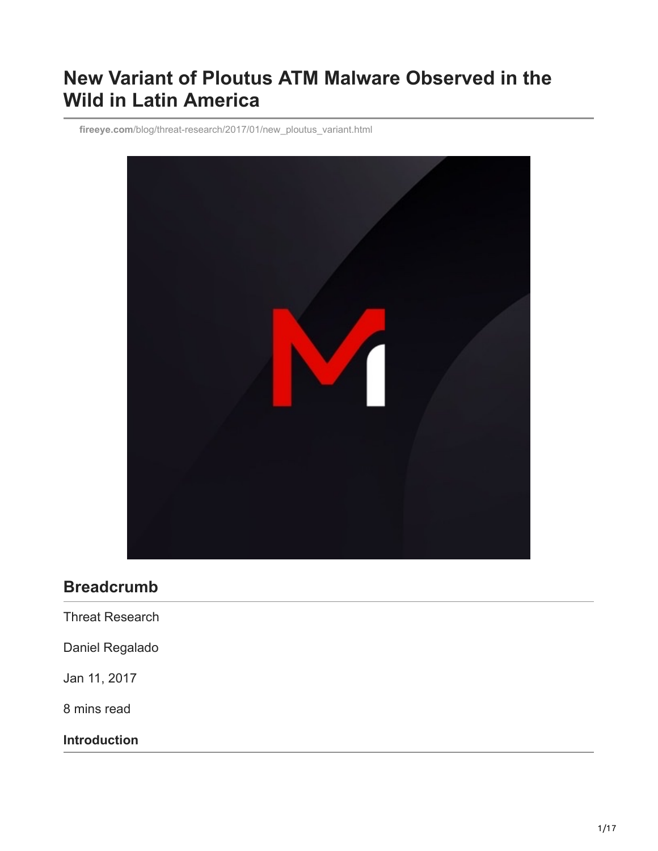# **New Variant of Ploutus ATM Malware Observed in the Wild in Latin America**

**fireeye.com**[/blog/threat-research/2017/01/new\\_ploutus\\_variant.html](https://www.fireeye.com/blog/threat-research/2017/01/new_ploutus_variant.html)



## **Breadcrumb**

Threat Research

Daniel Regalado

Jan 11, 2017

8 mins read

**Introduction**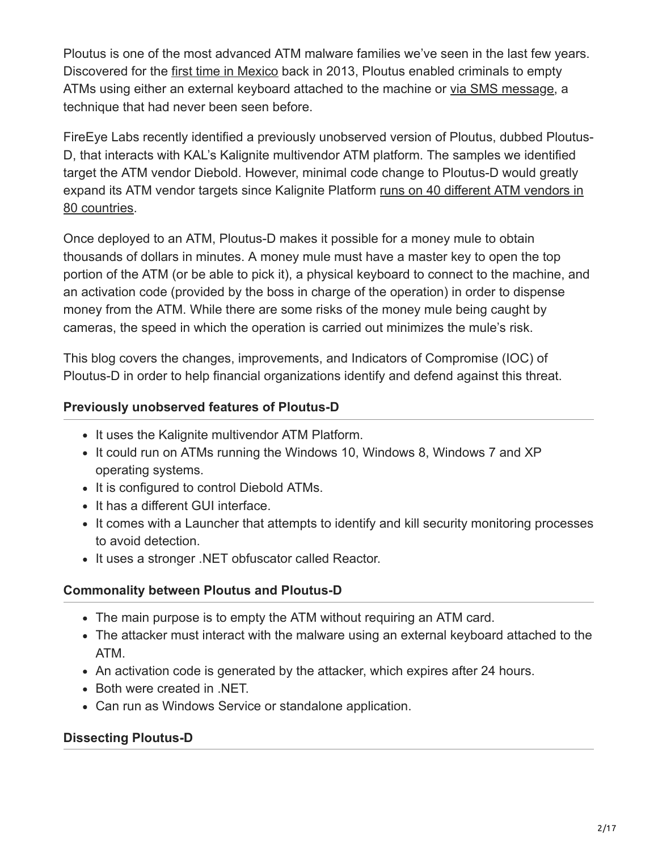Ploutus is one of the most advanced ATM malware families we've seen in the last few years. Discovered for the [first time in Mexico](https://community.broadcom.com/symantecenterprise/communities/community-home/librarydocuments/viewdocument?DocumentKey=4274cb7f-d65d-4928-bdf4-0275eedc80d2&CommunityKey=1ecf5f55-9545-44d6-b0f4-4e4a7f5f5e68&tab=librarydocuments) back in 2013, Ploutus enabled criminals to empty ATMs using either an external keyboard attached to the machine or [via SMS message,](https://community.broadcom.com/symantecenterprise/communities/community-home/librarydocuments/viewdocument?DocumentKey=990a8f20-043f-444c-b349-617f908899db&CommunityKey=1ecf5f55-9545-44d6-b0f4-4e4a7f5f5e68&tab=librarydocuments) a technique that had never been seen before.

FireEye Labs recently identified a previously unobserved version of Ploutus, dubbed Ploutus-D, that interacts with KAL's Kalignite multivendor ATM platform. The samples we identified target the ATM vendor Diebold. However, minimal code change to Ploutus-D would greatly [expand its ATM vendor targets since Kalignite Platform runs on 40 different ATM vendors in](http://www.kal.com/en/video/multi-vendor) 80 countries.

Once deployed to an ATM, Ploutus-D makes it possible for a money mule to obtain thousands of dollars in minutes. A money mule must have a master key to open the top portion of the ATM (or be able to pick it), a physical keyboard to connect to the machine, and an activation code (provided by the boss in charge of the operation) in order to dispense money from the ATM. While there are some risks of the money mule being caught by cameras, the speed in which the operation is carried out minimizes the mule's risk.

This blog covers the changes, improvements, and Indicators of Compromise (IOC) of Ploutus-D in order to help financial organizations identify and defend against this threat.

## **Previously unobserved features of Ploutus-D**

- It uses the Kalignite multivendor ATM Platform.
- It could run on ATMs running the Windows 10, Windows 8, Windows 7 and XP operating systems.
- It is configured to control Diebold ATMs.
- It has a different GUI interface.
- It comes with a Launcher that attempts to identify and kill security monitoring processes to avoid detection.
- It uses a stronger .NET obfuscator called Reactor.

## **Commonality between Ploutus and Ploutus-D**

- The main purpose is to empty the ATM without requiring an ATM card.
- The attacker must interact with the malware using an external keyboard attached to the ATM.
- An activation code is generated by the attacker, which expires after 24 hours.
- Both were created in .NET.
- Can run as Windows Service or standalone application.

## **Dissecting Ploutus-D**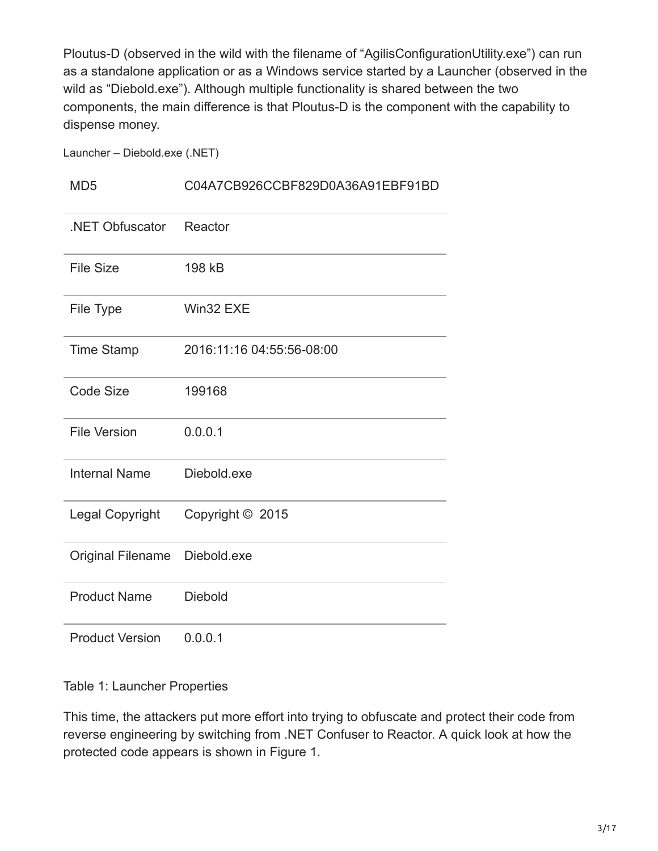Ploutus-D (observed in the wild with the filename of "AgilisConfigurationUtility.exe") can run as a standalone application or as a Windows service started by a Launcher (observed in the wild as "Diebold.exe"). Although multiple functionality is shared between the two components, the main difference is that Ploutus-D is the component with the capability to dispense money.

Launcher – Diebold.exe (.NET)

#### MD5 C04A7CB926CCBF829D0A36A91EBF91BD

| .NET Obfuscator        | Reactor                   |
|------------------------|---------------------------|
| <b>File Size</b>       | 198 kB                    |
| File Type              | Win32 EXE                 |
| <b>Time Stamp</b>      | 2016:11:16 04:55:56-08:00 |
| <b>Code Size</b>       | 199168                    |
| <b>File Version</b>    | 0.0.0.1                   |
| <b>Internal Name</b>   | Diebold.exe               |
| <b>Legal Copyright</b> | Copyright © 2015          |
| Original Filename      | Diebold.exe               |
| <b>Product Name</b>    | <b>Diebold</b>            |
| <b>Product Version</b> | 0.0.0.1                   |

Table 1: Launcher Properties

This time, the attackers put more effort into trying to obfuscate and protect their code from reverse engineering by switching from .NET Confuser to Reactor. A quick look at how the protected code appears is shown in Figure 1.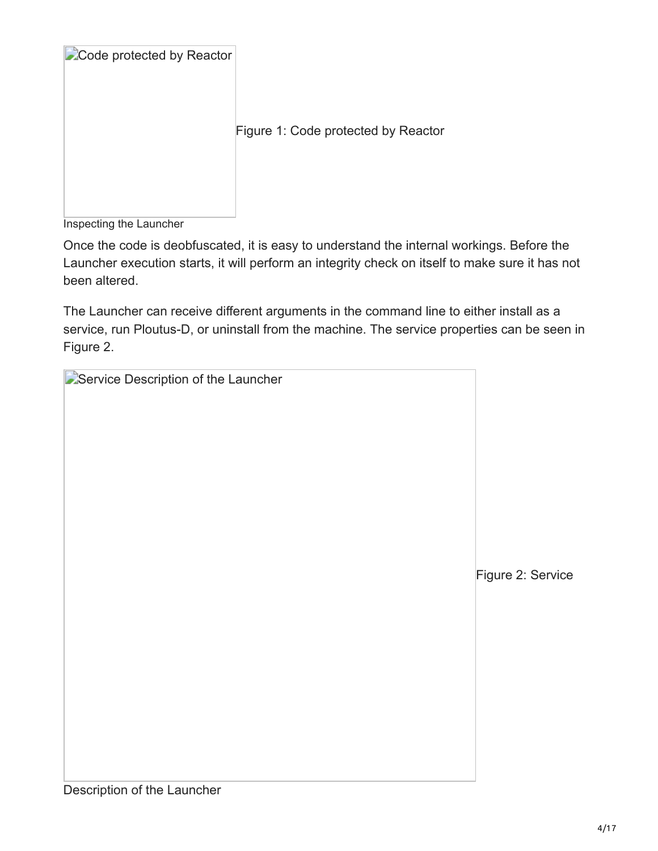| Code protected by Reactor |                                     |
|---------------------------|-------------------------------------|
|                           | Figure 1: Code protected by Reactor |
|                           |                                     |

Inspecting the Launcher

Once the code is deobfuscated, it is easy to understand the internal workings. Before the Launcher execution starts, it will perform an integrity check on itself to make sure it has not been altered.

The Launcher can receive different arguments in the command line to either install as a service, run Ploutus-D, or uninstall from the machine. The service properties can be seen in Figure 2.

| <b>D</b> Service Description of the Launcher |          |
|----------------------------------------------|----------|
|                                              |          |
|                                              |          |
|                                              |          |
|                                              |          |
|                                              |          |
|                                              |          |
|                                              |          |
|                                              | Figure 2 |
|                                              |          |
|                                              |          |
|                                              |          |
|                                              |          |
|                                              |          |
|                                              |          |
|                                              |          |
|                                              |          |

Service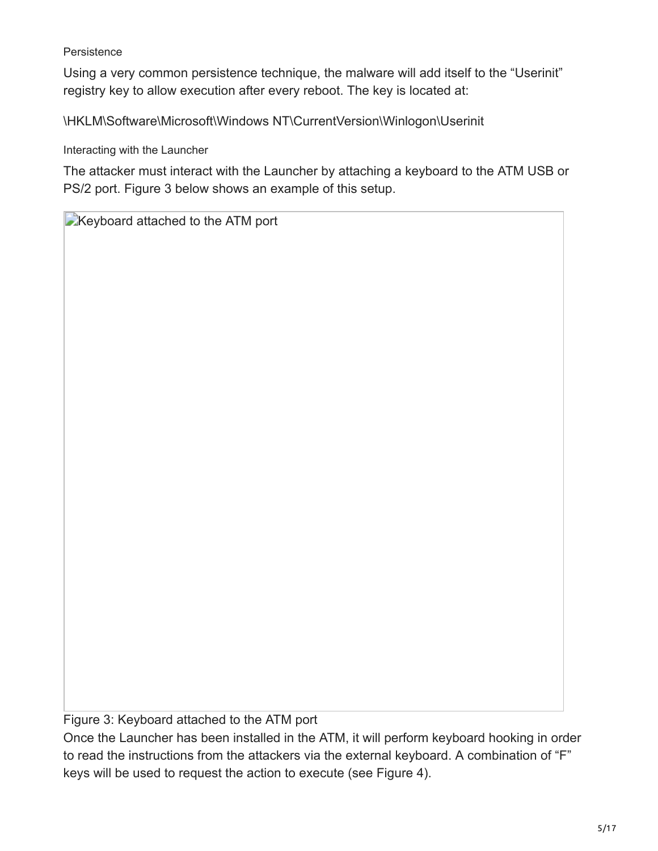#### **Persistence**

Using a very common persistence technique, the malware will add itself to the "Userinit" registry key to allow execution after every reboot. The key is located at:

\HKLM\Software\Microsoft\Windows NT\CurrentVersion\Winlogon\Userinit

Interacting with the Launcher

The attacker must interact with the Launcher by attaching a keyboard to the ATM USB or PS/2 port. Figure 3 below shows an example of this setup.

**EXeyboard attached to the ATM port** 

Figure 3: Keyboard attached to the ATM port

Once the Launcher has been installed in the ATM, it will perform keyboard hooking in order to read the instructions from the attackers via the external keyboard. A combination of "F" keys will be used to request the action to execute (see Figure 4).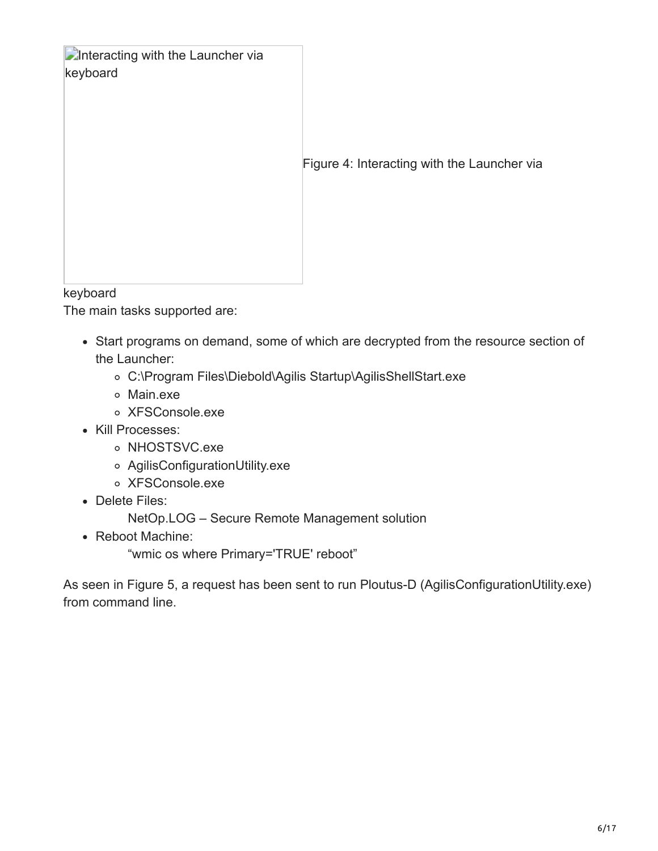| <b>Confidence in the Launcher via</b><br>keyboard<br><b>Izovicond</b> | Figure 4: Interacting with the Launcher via |
|-----------------------------------------------------------------------|---------------------------------------------|
|-----------------------------------------------------------------------|---------------------------------------------|

keyboard

The main tasks supported are:

- Start programs on demand, some of which are decrypted from the resource section of the Launcher:
	- C:\Program Files\Diebold\Agilis Startup\AgilisShellStart.exe
	- Main.exe
	- XFSConsole.exe
- Kill Processes:
	- o NHOSTSVC.exe
	- AgilisConfigurationUtility.exe
	- XFSConsole.exe
- Delete Files:

NetOp.LOG – Secure Remote Management solution

• Reboot Machine:

"wmic os where Primary='TRUE' reboot"

As seen in Figure 5, a request has been sent to run Ploutus-D (AgilisConfigurationUtility.exe) from command line.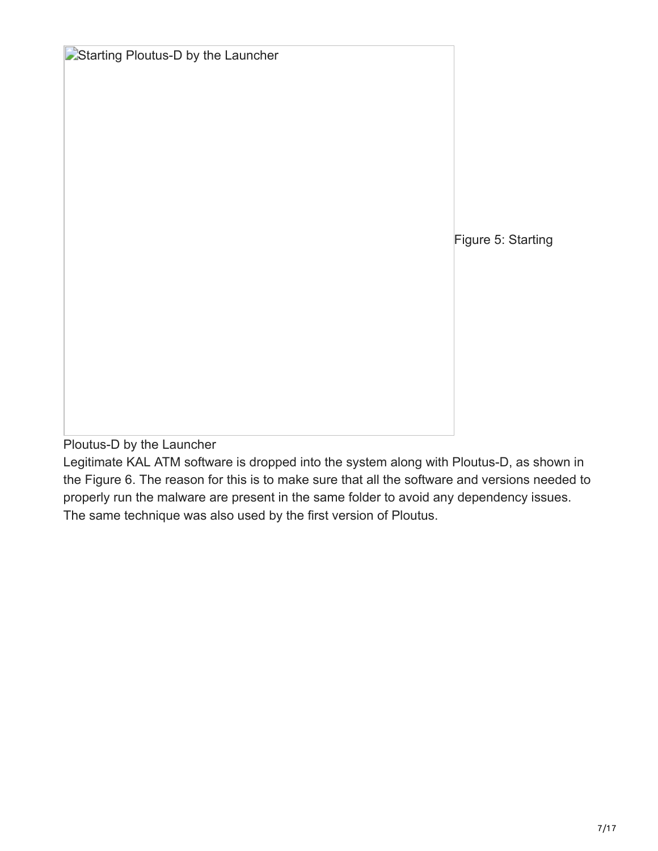**E**Starting Ploutus-D by the Launcher Figure 5: Starting

Ploutus-D by the Launcher

Legitimate KAL ATM software is dropped into the system along with Ploutus-D, as shown in the Figure 6. The reason for this is to make sure that all the software and versions needed to properly run the malware are present in the same folder to avoid any dependency issues. The same technique was also used by the first version of Ploutus.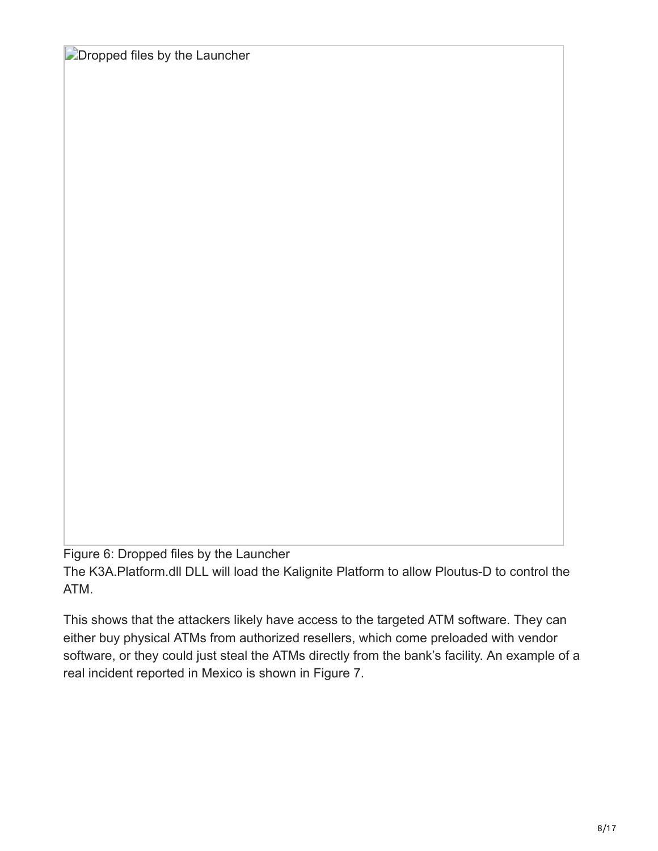**Dropped files by the Launcher** 

Figure 6: Dropped files by the Launcher The K3A.Platform.dll DLL will load the Kalignite Platform to allow Ploutus-D to control the ATM.

This shows that the attackers likely have access to the targeted ATM software. They can either buy physical ATMs from authorized resellers, which come preloaded with vendor software, or they could just steal the ATMs directly from the bank's facility. An example of a real incident reported in Mexico is shown in Figure 7.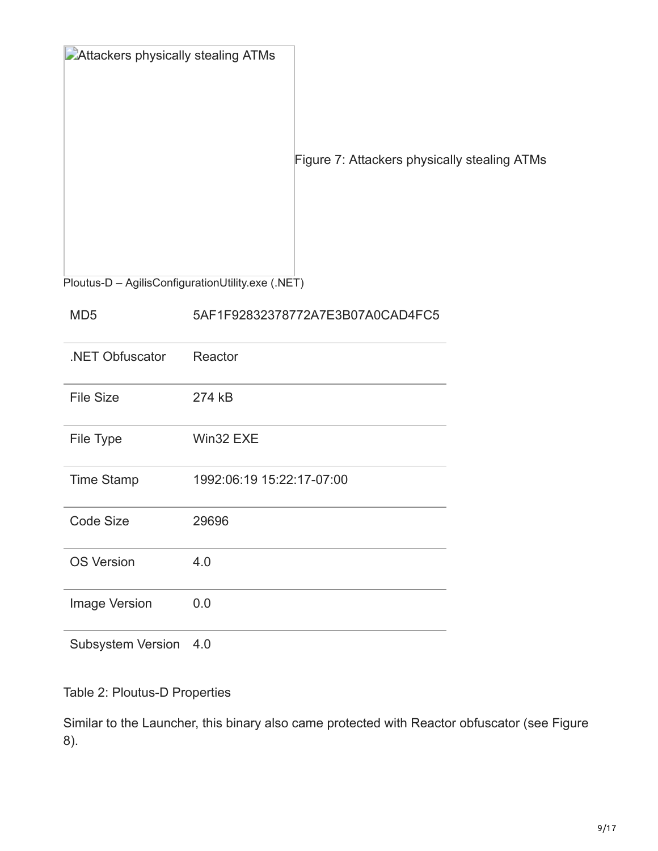| Attackers physically stealing ATMs<br>Figure 7: Attackers physically stealing ATMs |
|------------------------------------------------------------------------------------|
|------------------------------------------------------------------------------------|

Ploutus-D – AgilisConfigurationUtility.exe (.NET)

## MD5 5AF1F92832378772A7E3B07A0CAD4FC5

| .NET Obfuscator          | Reactor                   |
|--------------------------|---------------------------|
| <b>File Size</b>         | 274 kB                    |
| File Type                | Win32 EXE                 |
| <b>Time Stamp</b>        | 1992:06:19 15:22:17-07:00 |
| Code Size                | 29696                     |
| <b>OS Version</b>        | 4.0                       |
| <b>Image Version</b>     | 0.0                       |
| <b>Subsystem Version</b> | 4.0                       |

Table 2: Ploutus-D Properties

Similar to the Launcher, this binary also came protected with Reactor obfuscator (see Figure 8).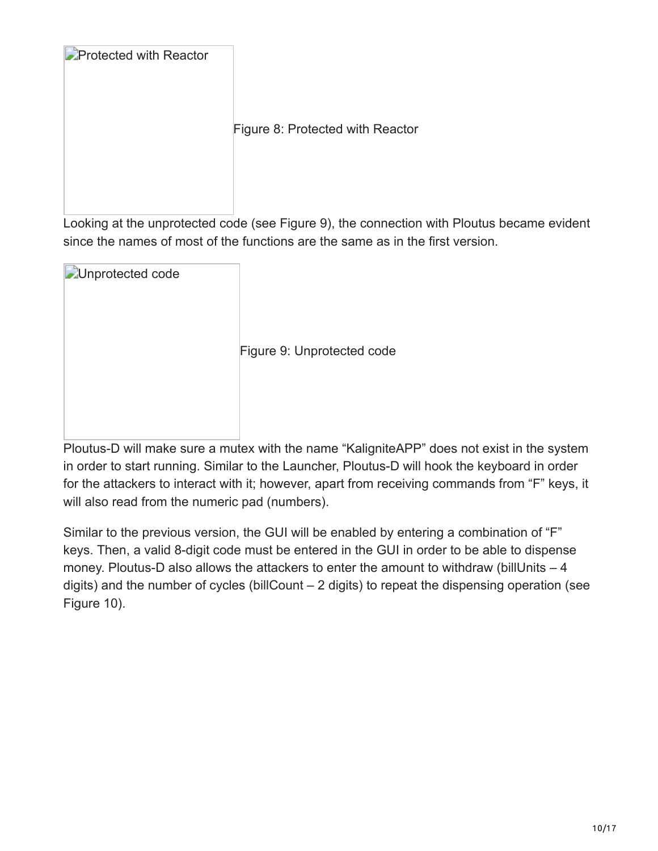| <b>Protected with Reactor</b> |                                  |
|-------------------------------|----------------------------------|
|                               | Figure 8: Protected with Reactor |

Looking at the unprotected code (see Figure 9), the connection with Ploutus became evident since the names of most of the functions are the same as in the first version.

| Unprotected code |                            |
|------------------|----------------------------|
|                  | Figure 9: Unprotected code |
|                  |                            |

Ploutus-D will make sure a mutex with the name "KaligniteAPP" does not exist in the system in order to start running. Similar to the Launcher, Ploutus-D will hook the keyboard in order for the attackers to interact with it; however, apart from receiving commands from "F" keys, it will also read from the numeric pad (numbers).

Similar to the previous version, the GUI will be enabled by entering a combination of "F" keys. Then, a valid 8-digit code must be entered in the GUI in order to be able to dispense money. Ploutus-D also allows the attackers to enter the amount to withdraw (billUnits  $-4$ digits) and the number of cycles (billCount – 2 digits) to repeat the dispensing operation (see Figure 10).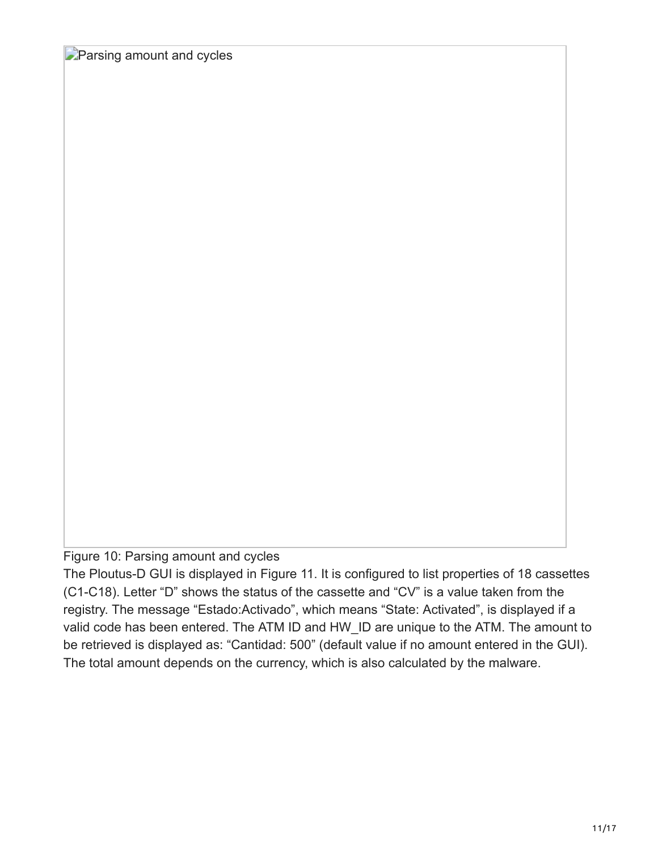**Parsing amount and cycles** 

Figure 10: Parsing amount and cycles

The Ploutus-D GUI is displayed in Figure 11. It is configured to list properties of 18 cassettes (C1-C18). Letter "D" shows the status of the cassette and "CV" is a value taken from the registry. The message "Estado:Activado", which means "State: Activated", is displayed if a valid code has been entered. The ATM ID and HW\_ID are unique to the ATM. The amount to be retrieved is displayed as: "Cantidad: 500" (default value if no amount entered in the GUI). The total amount depends on the currency, which is also calculated by the malware.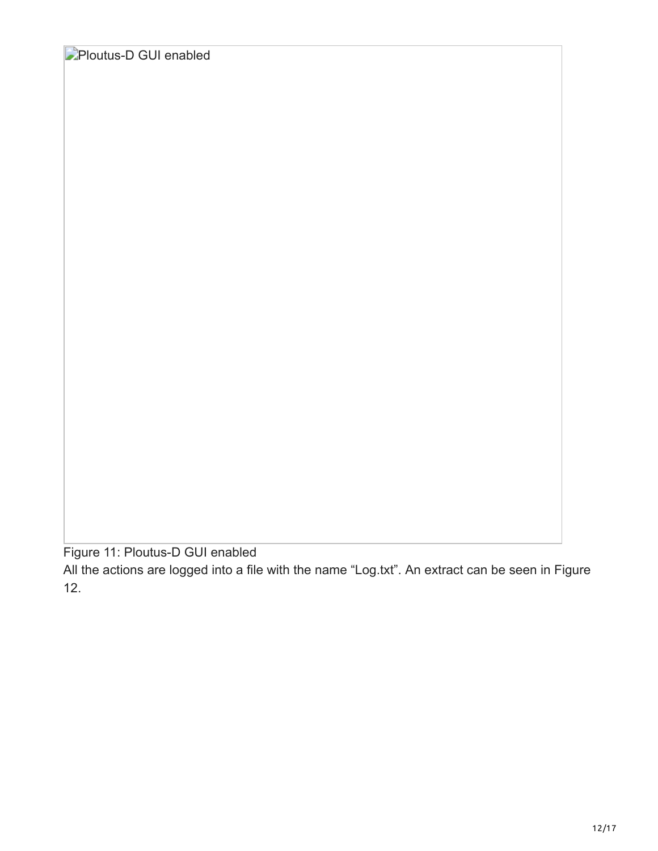**Ploutus-D GUI enabled** 

Figure 11: Ploutus-D GUI enabled

All the actions are logged into a file with the name "Log.txt". An extract can be seen in Figure 12.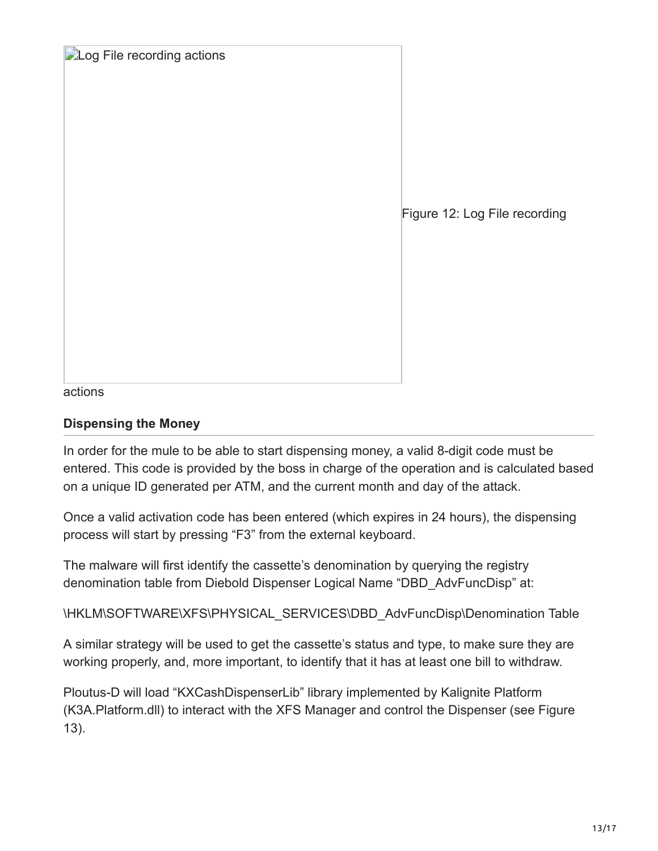|  |  |  | Log File recording actions |
|--|--|--|----------------------------|
|--|--|--|----------------------------|

Figure 12: Log File recording

actions

#### **Dispensing the Money**

In order for the mule to be able to start dispensing money, a valid 8-digit code must be entered. This code is provided by the boss in charge of the operation and is calculated based on a unique ID generated per ATM, and the current month and day of the attack.

Once a valid activation code has been entered (which expires in 24 hours), the dispensing process will start by pressing "F3" from the external keyboard.

The malware will first identify the cassette's denomination by querying the registry denomination table from Diebold Dispenser Logical Name "DBD\_AdvFuncDisp" at:

\HKLM\SOFTWARE\XFS\PHYSICAL\_SERVICES\DBD\_AdvFuncDisp\Denomination Table

A similar strategy will be used to get the cassette's status and type, to make sure they are working properly, and, more important, to identify that it has at least one bill to withdraw.

Ploutus-D will load "KXCashDispenserLib" library implemented by Kalignite Platform (K3A.Platform.dll) to interact with the XFS Manager and control the Dispenser (see Figure 13).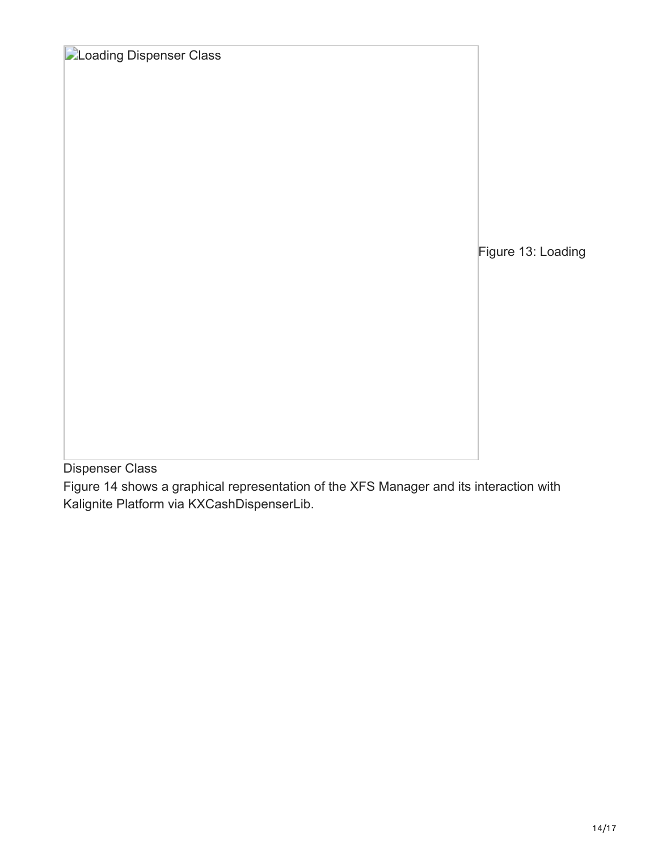**Loading Dispenser Class** Figure 13: Loading

Dispenser Class

Figure 14 shows a graphical representation of the XFS Manager and its interaction with Kalignite Platform via KXCashDispenserLib.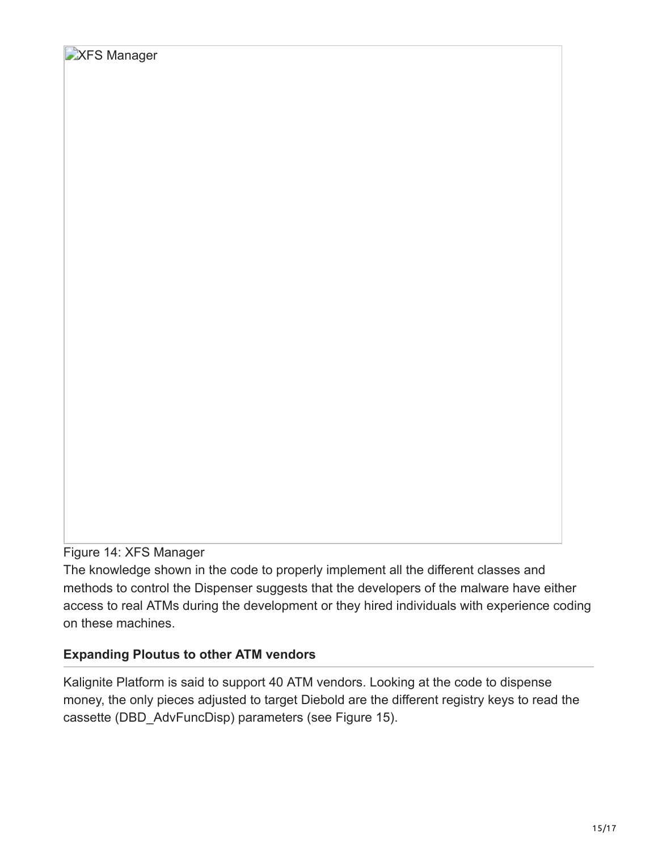## Figure 14: XFS Manager

The knowledge shown in the code to properly implement all the different classes and methods to control the Dispenser suggests that the developers of the malware have either access to real ATMs during the development or they hired individuals with experience coding on these machines.

## **Expanding Ploutus to other ATM vendors**

Kalignite Platform is said to support 40 ATM vendors. Looking at the code to dispense money, the only pieces adjusted to target Diebold are the different registry keys to read the cassette (DBD\_AdvFuncDisp) parameters (see Figure 15).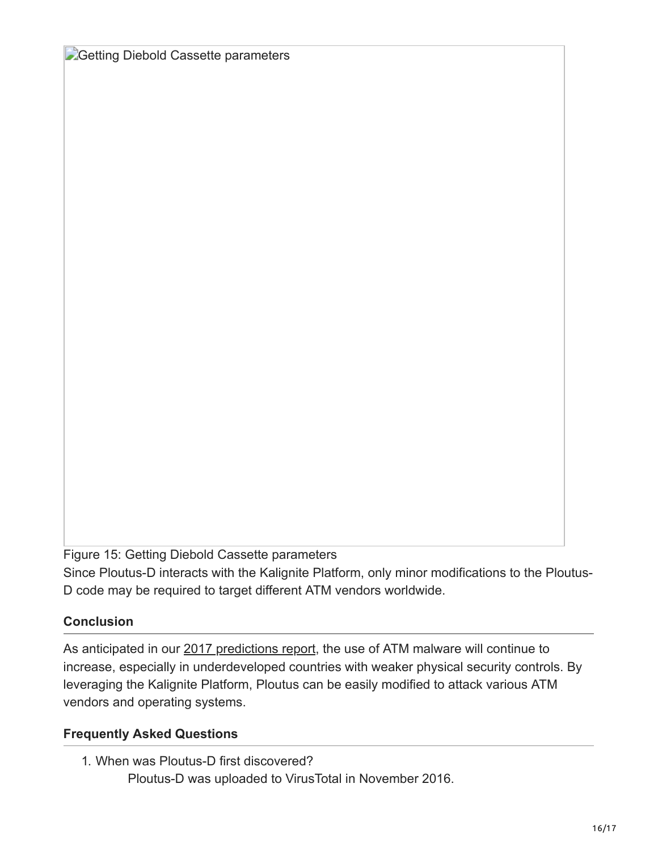**Getting Diebold Cassette parameters** 

Figure 15: Getting Diebold Cassette parameters

Since Ploutus-D interacts with the Kalignite Platform, only minor modifications to the Ploutus-D code may be required to target different ATM vendors worldwide.

## **Conclusion**

As anticipated in our [2017 predictions report,](https://www.fireeye.com/blog/executive-perspective/2016/11/questions_and_answer.html) the use of ATM malware will continue to increase, especially in underdeveloped countries with weaker physical security controls. By leveraging the Kalignite Platform, Ploutus can be easily modified to attack various ATM vendors and operating systems.

## **Frequently Asked Questions**

1. When was Ploutus-D first discovered? Ploutus-D was uploaded to VirusTotal in November 2016.